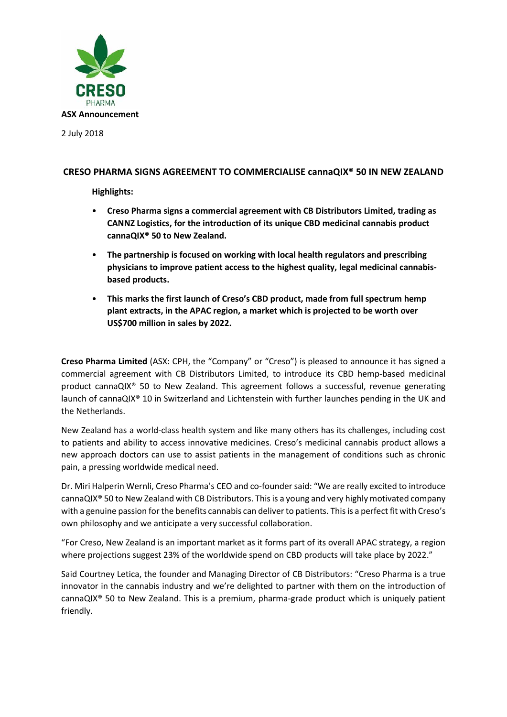

2 July 2018

# **CRESO PHARMA SIGNS AGREEMENT TO COMMERCIALISE cannaQIX® 50 IN NEW ZEALAND**

**Highlights:**

- **Creso Pharma signs a commercial agreement with CB Distributors Limited, trading as CANNZ Logistics, for the introduction of its unique CBD medicinal cannabis product cannaQIX® 50 to New Zealand.**
- **The partnership is focused on working with local health regulators and prescribing physicians to improve patient access to the highest quality, legal medicinal cannabisbased products.**
- **This marks the first launch of Creso's CBD product, made from full spectrum hemp plant extracts, in the APAC region, a market which is projected to be worth over US\$700 million in sales by 2022.**

**Creso Pharma Limited** (ASX: CPH, the "Company" or "Creso") is pleased to announce it has signed a commercial agreement with CB Distributors Limited, to introduce its CBD hemp-based medicinal product cannaQIX® 50 to New Zealand. This agreement follows a successful, revenue generating launch of cannaQIX® 10 in Switzerland and Lichtenstein with further launches pending in the UK and the Netherlands.

New Zealand has a world-class health system and like many others has its challenges, including cost to patients and ability to access innovative medicines. Creso's medicinal cannabis product allows a new approach doctors can use to assist patients in the management of conditions such as chronic pain, a pressing worldwide medical need.

Dr. Miri Halperin Wernli, Creso Pharma's CEO and co-founder said: "We are really excited to introduce cannaQIX® 50 to New Zealand with CB Distributors. This is a young and very highly motivated company with a genuine passion for the benefits cannabis can deliver to patients. This is a perfect fit with Creso's own philosophy and we anticipate a very successful collaboration.

"For Creso, New Zealand is an important market as it forms part of its overall APAC strategy, a region where projections suggest 23% of the worldwide spend on CBD products will take place by 2022."

Said Courtney Letica, the founder and Managing Director of CB Distributors: "Creso Pharma is a true innovator in the cannabis industry and we're delighted to partner with them on the introduction of cannaQIX® 50 to New Zealand. This is a premium, pharma-grade product which is uniquely patient friendly.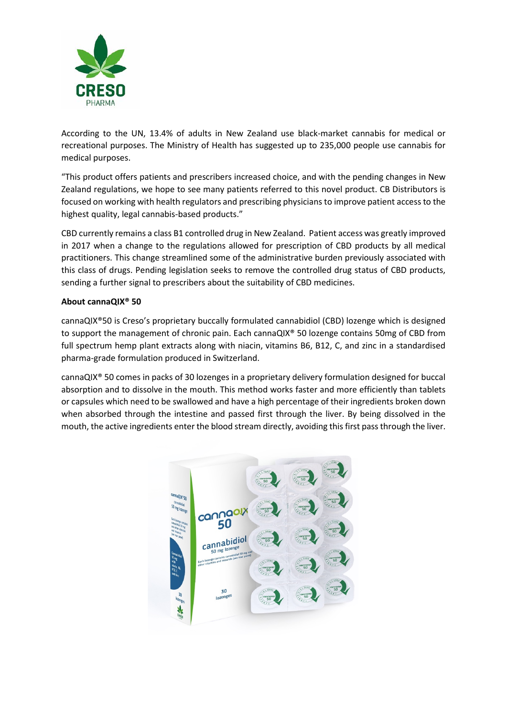

According to the UN, 13.4% of adults in New Zealand use black-market cannabis for medical or recreational purposes. The Ministry of Health has suggested up to 235,000 people use cannabis for medical purposes.

"This product offers patients and prescribers increased choice, and with the pending changes in New Zealand regulations, we hope to see many patients referred to this novel product. CB Distributors is focused on working with health regulators and prescribing physicians to improve patient access to the highest quality, legal cannabis-based products."

CBD currently remains a class B1 controlled drug in New Zealand. Patient access was greatly improved in 2017 when a change to the regulations allowed for prescription of CBD products by all medical practitioners. This change streamlined some of the administrative burden previously associated with this class of drugs. Pending legislation seeks to remove the controlled drug status of CBD products, sending a further signal to prescribers about the suitability of CBD medicines.

## **About cannaQIX® 50**

cannaQIX®50 is Creso's proprietary buccally formulated cannabidiol (CBD) lozenge which is designed to support the management of chronic pain. Each cannaQIX® 50 lozenge contains 50mg of CBD from full spectrum hemp plant extracts along with niacin, vitamins B6, B12, C, and zinc in a standardised pharma-grade formulation produced in Switzerland.

cannaQIX® 50 comes in packs of 30 lozenges in a proprietary delivery formulation designed for buccal absorption and to dissolve in the mouth. This method works faster and more efficiently than tablets or capsules which need to be swallowed and have a high percentage of their ingredients broken down when absorbed through the intestine and passed first through the liver. By being dissolved in the mouth, the active ingredients enter the blood stream directly, avoiding this first pass through the liver.

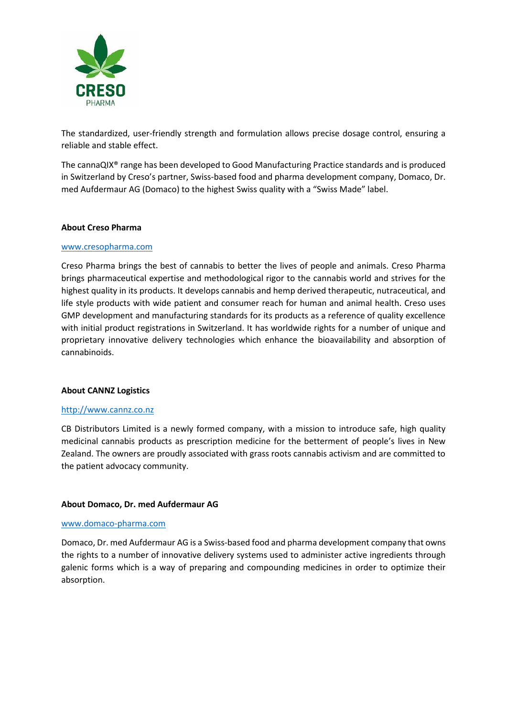

The standardized, user-friendly strength and formulation allows precise dosage control, ensuring a reliable and stable effect.

The cannaQIX® range has been developed to Good Manufacturing Practice standards and is produced in Switzerland by Creso's partner, Swiss-based food and pharma development company, Domaco, Dr. med Aufdermaur AG (Domaco) to the highest Swiss quality with a "Swiss Made" label.

#### **About Creso Pharma**

#### [www.cresopharma.com](http://www.cresopharma.com/)

Creso Pharma brings the best of cannabis to better the lives of people and animals. Creso Pharma brings pharmaceutical expertise and methodological rigor to the cannabis world and strives for the highest quality in its products. It develops cannabis and hemp derived therapeutic, nutraceutical, and life style products with wide patient and consumer reach for human and animal health. Creso uses GMP development and manufacturing standards for its products as a reference of quality excellence with initial product registrations in Switzerland. It has worldwide rights for a number of unique and proprietary innovative delivery technologies which enhance the bioavailability and absorption of cannabinoids.

#### **About CANNZ Logistics**

#### http://www.cannz.co.nz

CB Distributors Limited is a newly formed company, with a mission to introduce safe, high quality medicinal cannabis products as prescription medicine for the betterment of people's lives in New Zealand. The owners are proudly associated with grass roots cannabis activism and are committed to the patient advocacy community.

#### **About Domaco, Dr. med Aufdermaur AG**

#### www.domaco-pharma.com

Domaco, Dr. med Aufdermaur AG is a Swiss-based food and pharma development company that owns the rights to a number of innovative delivery systems used to administer active ingredients through galenic forms which is a way of preparing and compounding medicines in order to optimize their absorption.